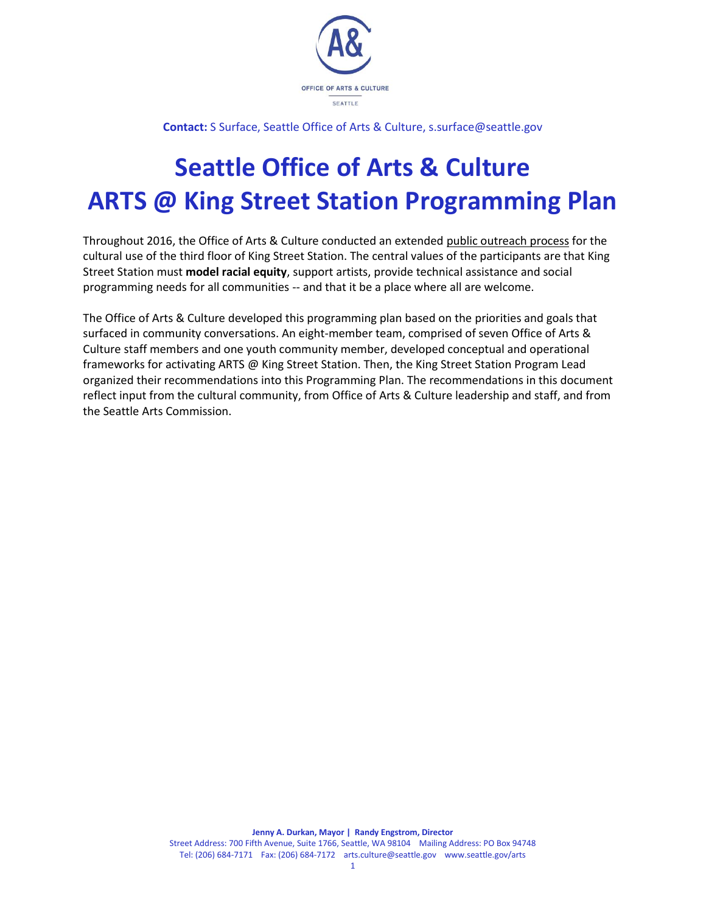

**Contact:** S Surface, Seattle Office of Arts & Culture, s.surface@seattle.gov

# **Seattle Office of Arts & Culture ARTS @ King Street Station Programming Plan**

Throughout 2016, the Office of Arts & Culture conducted an extended [public outreach process](http://www.seattle.gov/Documents/Departments/Arts/Downloads/About/2018_1-REPORT-KSS-SCREEN.pdf) for the cultural use of the third floor of King Street Station. The central values of the participants are that King Street Station must **model racial equity**, support artists, provide technical assistance and social programming needs for all communities -- and that it be a place where all are welcome.

The Office of Arts & Culture developed this programming plan based on the priorities and goals that surfaced in community conversations. An eight-member team, comprised of seven Office of Arts & Culture staff members and one youth community member, developed conceptual and operational frameworks for activating ARTS @ King Street Station. Then, the King Street Station Program Lead organized their recommendations into this Programming Plan. The recommendations in this document reflect input from the cultural community, from Office of Arts & Culture leadership and staff, and from the Seattle Arts Commission.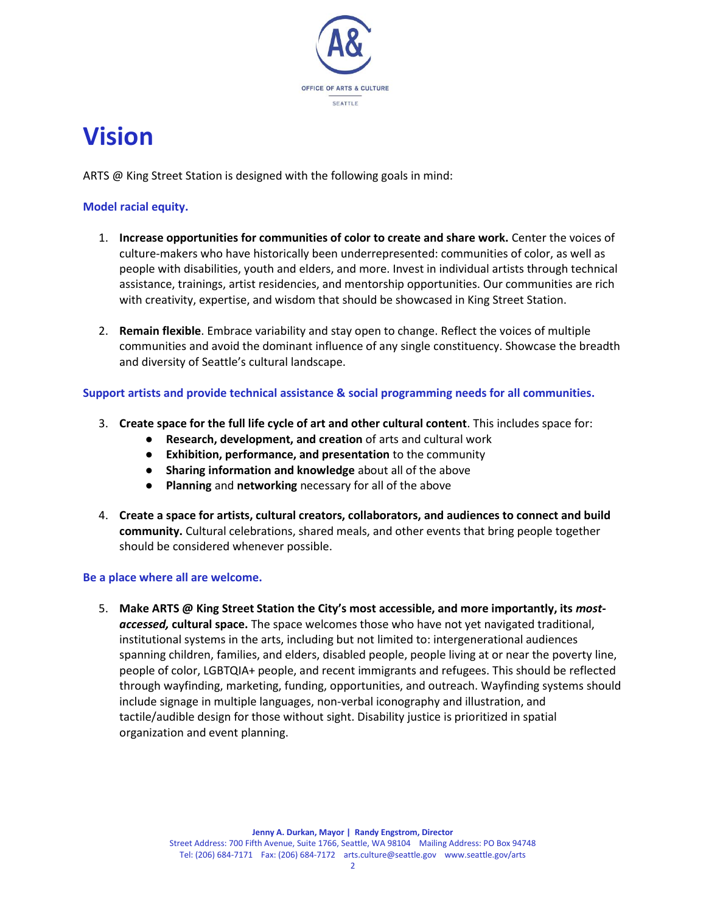

## **Vision**

ARTS @ King Street Station is designed with the following goals in mind:

#### **Model racial equity.**

- 1. **Increase opportunities for communities of color to create and share work.** Center the voices of culture-makers who have historically been underrepresented: communities of color, as well as people with disabilities, youth and elders, and more. Invest in individual artists through technical assistance, trainings, artist residencies, and mentorship opportunities. Our communities are rich with creativity, expertise, and wisdom that should be showcased in King Street Station.
- 2. **Remain flexible**. Embrace variability and stay open to change. Reflect the voices of multiple communities and avoid the dominant influence of any single constituency. Showcase the breadth and diversity of Seattle's cultural landscape.

#### **Support artists and provide technical assistance & social programming needs for all communities.**

- 3. **Create space for the full life cycle of art and other cultural content**. This includes space for:
	- **Research, development, and creation** of arts and cultural work
	- **Exhibition, performance, and presentation** to the community
	- **Sharing information and knowledge** about all of the above
	- **Planning** and **networking** necessary for all of the above
- 4. **Create a space for artists, cultural creators, collaborators, and audiences to connect and build community.** Cultural celebrations, shared meals, and other events that bring people together should be considered whenever possible.

#### **Be a place where all are welcome.**

5. **Make ARTS @ King Street Station the City's most accessible, and more importantly, its** *mostaccessed,* **cultural space.** The space welcomes those who have not yet navigated traditional, institutional systems in the arts, including but not limited to: intergenerational audiences spanning children, families, and elders, disabled people, people living at or near the poverty line, people of color, LGBTQIA+ people, and recent immigrants and refugees. This should be reflected through wayfinding, marketing, funding, opportunities, and outreach. Wayfinding systems should include signage in multiple languages, non-verbal iconography and illustration, and tactile/audible design for those without sight. Disability justice is prioritized in spatial organization and event planning.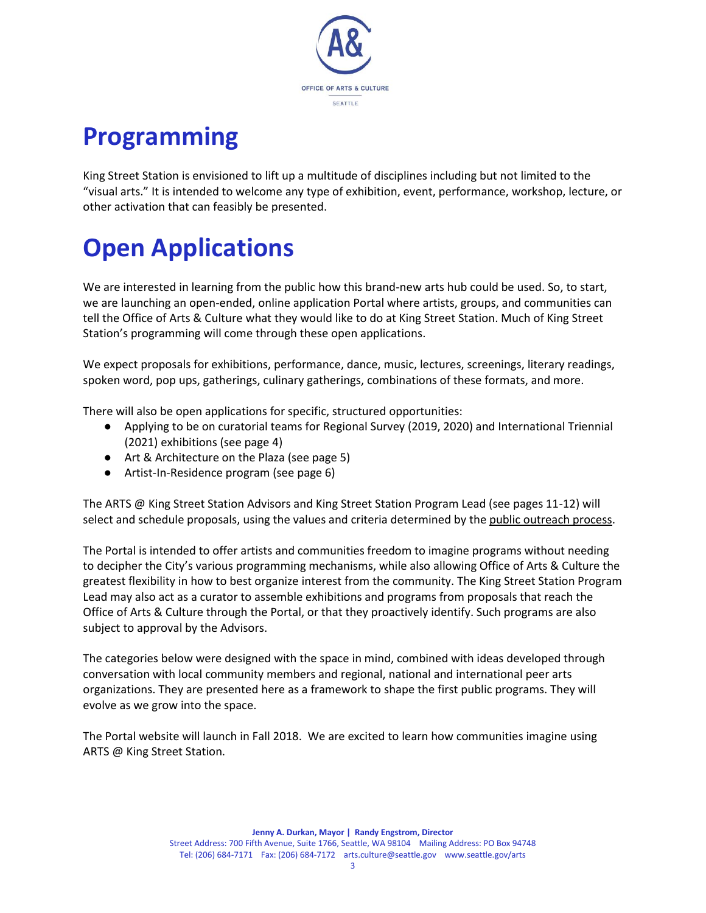

# **Programming**

King Street Station is envisioned to lift up a multitude of disciplines including but not limited to the "visual arts." It is intended to welcome any type of exhibition, event, performance, workshop, lecture, or other activation that can feasibly be presented.

# **Open Applications**

We are interested in learning from the public how this brand-new arts hub could be used. So, to start, we are launching an open-ended, online application Portal where artists, groups, and communities can tell the Office of Arts & Culture what they would like to do at King Street Station. Much of King Street Station's programming will come through these open applications.

We expect proposals for exhibitions, performance, dance, music, lectures, screenings, literary readings, spoken word, pop ups, gatherings, culinary gatherings, combinations of these formats, and more.

There will also be open applications for specific, structured opportunities:

- Applying to be on curatorial teams for Regional Survey (2019, 2020) and International Triennial (2021) exhibitions (see page 4)
- Art & Architecture on the Plaza (see page 5)
- Artist-In-Residence program (see page 6)

The ARTS @ King Street Station Advisors and King Street Station Program Lead (see pages 11-12) will select and schedule proposals, using the values and criteria determined by th[e public outreach process.](http://www.seattle.gov/Documents/Departments/Arts/Downloads/About/2018_1-REPORT-KSS-SCREEN.pdf)

The Portal is intended to offer artists and communities freedom to imagine programs without needing to decipher the City's various programming mechanisms, while also allowing Office of Arts & Culture the greatest flexibility in how to best organize interest from the community. The King Street Station Program Lead may also act as a curator to assemble exhibitions and programs from proposals that reach the Office of Arts & Culture through the Portal, or that they proactively identify. Such programs are also subject to approval by the Advisors.

The categories below were designed with the space in mind, combined with ideas developed through conversation with local community members and regional, national and international peer arts organizations. They are presented here as a framework to shape the first public programs. They will evolve as we grow into the space.

The Portal website will launch in Fall 2018. We are excited to learn how communities imagine using ARTS @ King Street Station.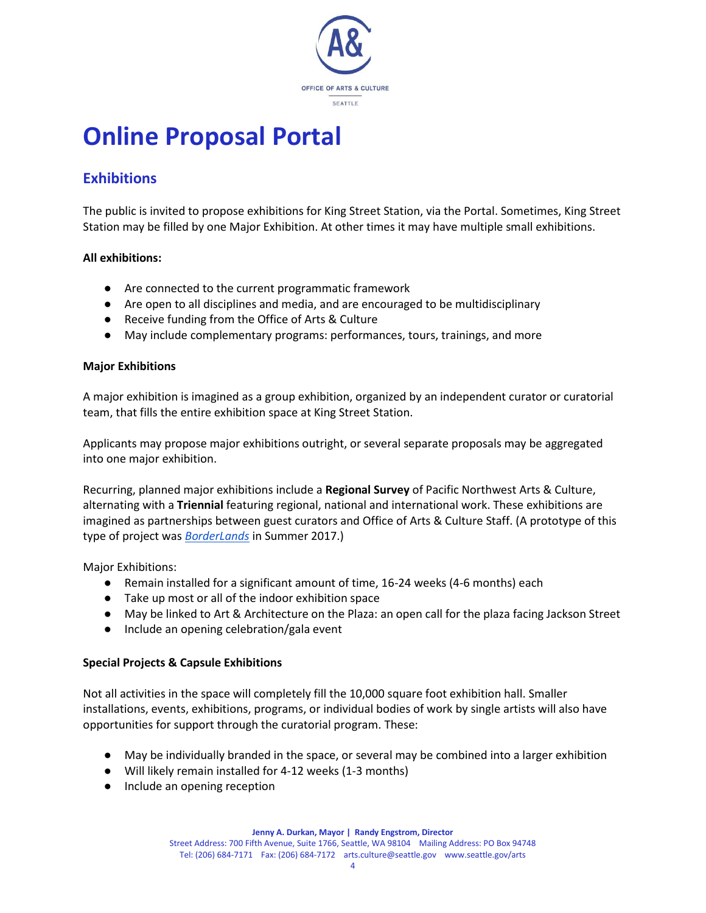

## **Online Proposal Portal**

### **Exhibitions**

The public is invited to propose exhibitions for King Street Station, via the Portal. Sometimes, King Street Station may be filled by one Major Exhibition. At other times it may have multiple small exhibitions.

#### **All exhibitions:**

- Are connected to the current programmatic framework
- Are open to all disciplines and media, and are encouraged to be multidisciplinary
- Receive funding from the Office of Arts & Culture
- May include complementary programs: performances, tours, trainings, and more

#### **Major Exhibitions**

A major exhibition is imagined as a group exhibition, organized by an independent curator or curatorial team, that fills the entire exhibition space at King Street Station.

Applicants may propose major exhibitions outright, or several separate proposals may be aggregated into one major exhibition.

Recurring, planned major exhibitions include a **Regional Survey** of Pacific Northwest Arts & Culture, alternating with a **Triennial** featuring regional, national and international work. These exhibitions are imagined as partnerships between guest curators and Office of Arts & Culture Staff. (A prototype of this type of project was *[BorderLands](http://www.seattle.gov/arts/borderlands)* in Summer 2017.)

Major Exhibitions:

- Remain installed for a significant amount of time, 16-24 weeks (4-6 months) each
- Take up most or all of the indoor exhibition space
- May be linked to Art & Architecture on the Plaza: an open call for the plaza facing Jackson Street
- Include an opening celebration/gala event

#### **Special Projects & Capsule Exhibitions**

Not all activities in the space will completely fill the 10,000 square foot exhibition hall. Smaller installations, events, exhibitions, programs, or individual bodies of work by single artists will also have opportunities for support through the curatorial program. These:

- May be individually branded in the space, or several may be combined into a larger exhibition
- Will likely remain installed for 4-12 weeks (1-3 months)
- Include an opening reception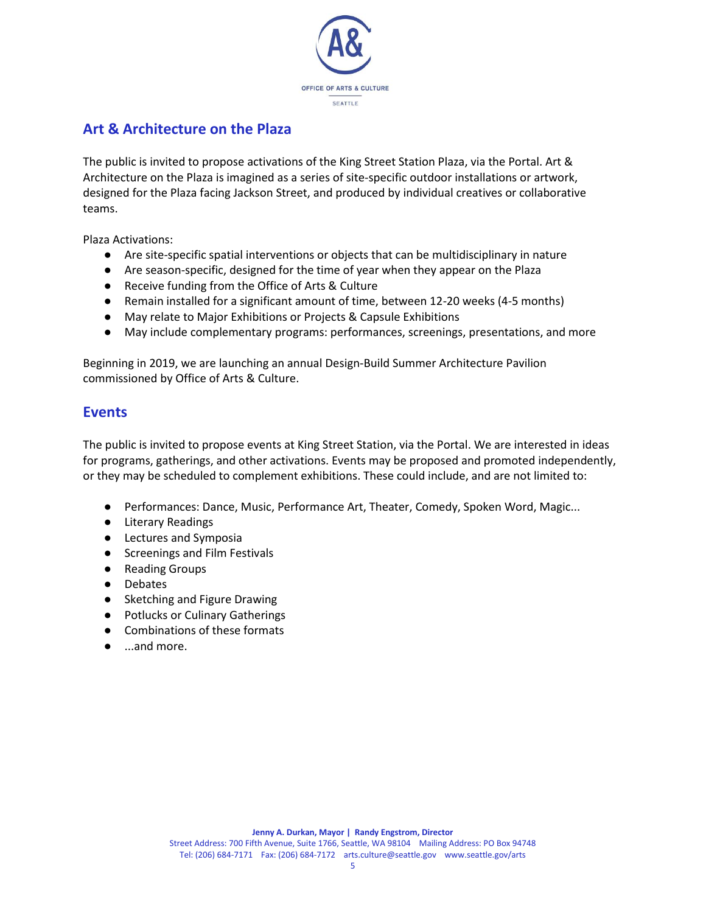

### **Art & Architecture on the Plaza**

The public is invited to propose activations of the King Street Station Plaza, via the Portal. Art & Architecture on the Plaza is imagined as a series of site-specific outdoor installations or artwork, designed for the Plaza facing Jackson Street, and produced by individual creatives or collaborative teams.

Plaza Activations:

- Are site-specific spatial interventions or objects that can be multidisciplinary in nature
- Are season-specific, designed for the time of year when they appear on the Plaza
- Receive funding from the Office of Arts & Culture
- Remain installed for a significant amount of time, between 12-20 weeks (4-5 months)
- May relate to Major Exhibitions or Projects & Capsule Exhibitions
- May include complementary programs: performances, screenings, presentations, and more

Beginning in 2019, we are launching an annual Design-Build Summer Architecture Pavilion commissioned by Office of Arts & Culture.

#### **Events**

The public is invited to propose events at King Street Station, via the Portal. We are interested in ideas for programs, gatherings, and other activations. Events may be proposed and promoted independently, or they may be scheduled to complement exhibitions. These could include, and are not limited to:

- Performances: Dance, Music, Performance Art, Theater, Comedy, Spoken Word, Magic...
- Literary Readings
- Lectures and Symposia
- Screenings and Film Festivals
- Reading Groups
- Debates
- Sketching and Figure Drawing
- Potlucks or Culinary Gatherings
- Combinations of these formats
- ...and more.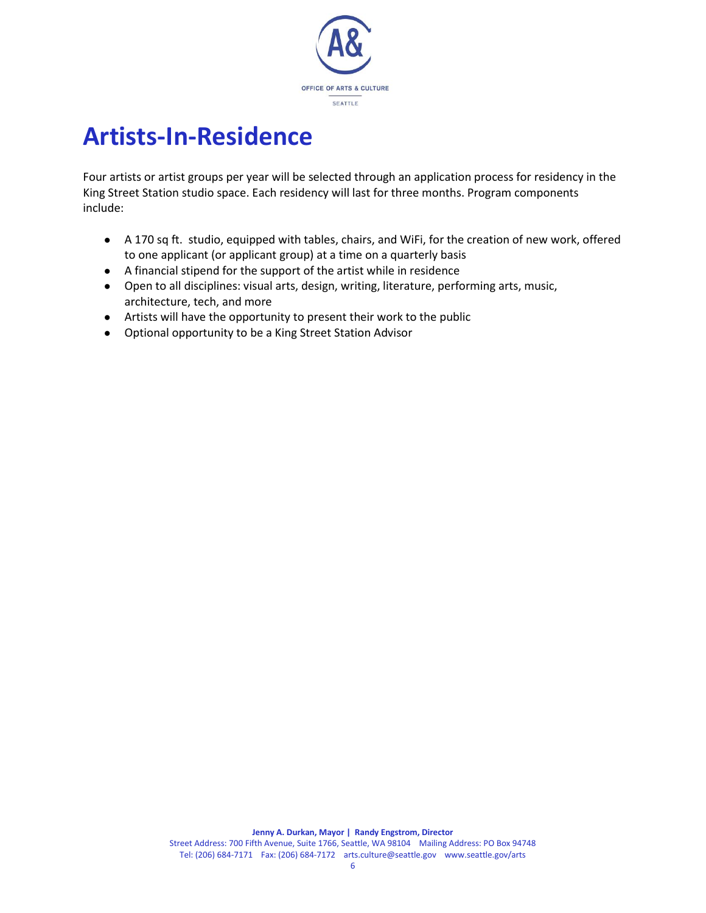

## **Artists-In-Residence**

Four artists or artist groups per year will be selected through an application process for residency in the King Street Station studio space. Each residency will last for three months. Program components include:

- A 170 sq ft. studio, equipped with tables, chairs, and WiFi, for the creation of new work, offered to one applicant (or applicant group) at a time on a quarterly basis
- A financial stipend for the support of the artist while in residence
- Open to all disciplines: visual arts, design, writing, literature, performing arts, music, architecture, tech, and more
- Artists will have the opportunity to present their work to the public
- Optional opportunity to be a King Street Station Advisor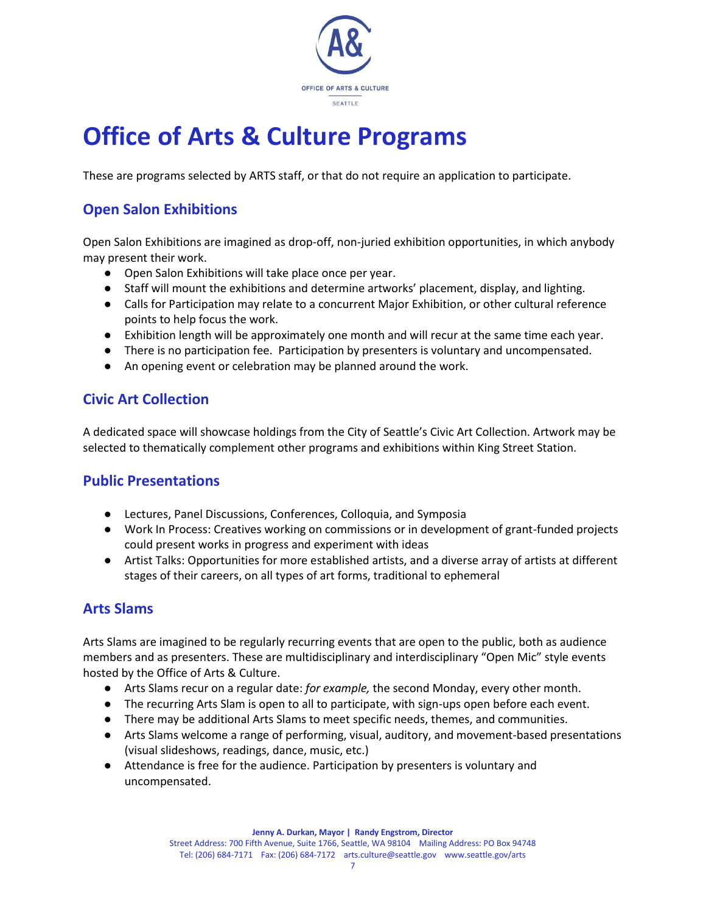

## **Office of Arts & Culture Programs**

These are programs selected by ARTS staff, or that do not require an application to participate.

### **Open Salon Exhibitions**

Open Salon Exhibitions are imagined as drop-off, non-juried exhibition opportunities, in which anybody may present their work.

- Open Salon Exhibitions will take place once per year.
- Staff will mount the exhibitions and determine artworks' placement, display, and lighting.
- Calls for Participation may relate to a concurrent Major Exhibition, or other cultural reference points to help focus the work.
- Exhibition length will be approximately one month and will recur at the same time each year.
- There is no participation fee. Participation by presenters is voluntary and uncompensated.
- An opening event or celebration may be planned around the work.

#### **Civic Art Collection**

A dedicated space will showcase holdings from the City of Seattle's Civic Art Collection. Artwork may be selected to thematically complement other programs and exhibitions within King Street Station.

#### **Public Presentations**

- Lectures, Panel Discussions, Conferences, Colloquia, and Symposia
- Work In Process: Creatives working on commissions or in development of grant-funded projects could present works in progress and experiment with ideas
- Artist Talks: Opportunities for more established artists, and a diverse array of artists at different stages of their careers, on all types of art forms, traditional to ephemeral

#### **Arts Slams**

Arts Slams are imagined to be regularly recurring events that are open to the public, both as audience members and as presenters. These are multidisciplinary and interdisciplinary "Open Mic" style events hosted by the Office of Arts & Culture.

- Arts Slams recur on a regular date: *for example,* the second Monday, every other month.
- The recurring Arts Slam is open to all to participate, with sign-ups open before each event.
- There may be additional Arts Slams to meet specific needs, themes, and communities.
- Arts Slams welcome a range of performing, visual, auditory, and movement-based presentations (visual slideshows, readings, dance, music, etc.)
- Attendance is free for the audience. Participation by presenters is voluntary and uncompensated.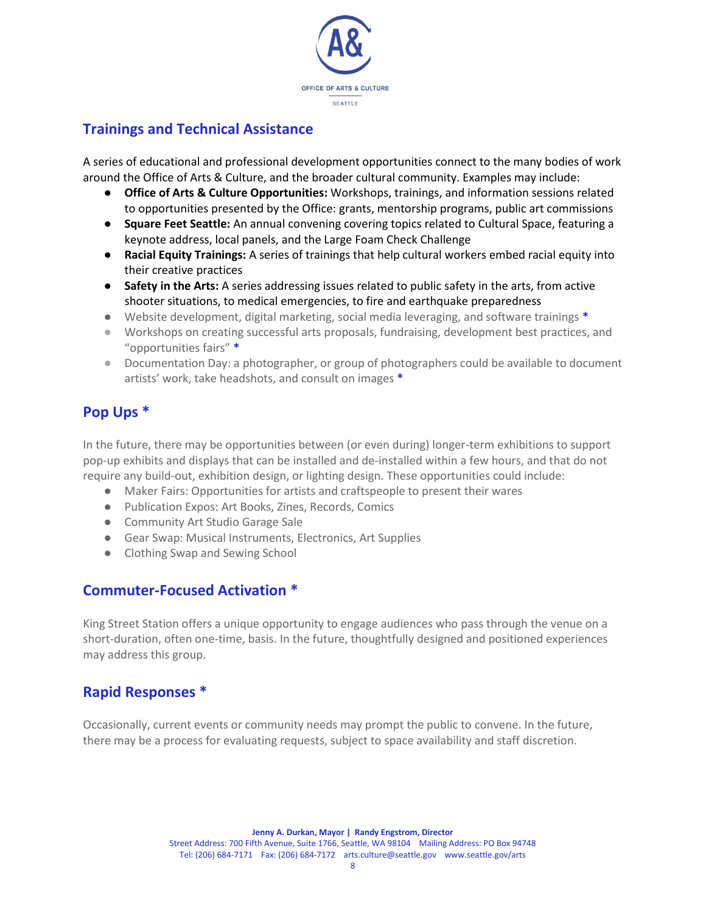

#### **Trainings and Technical Assistance**

A series of educational and professional development opportunities connect to the many bodies of work around the Office of Arts & Culture, and the broader cultural community. Examples may include:

- **Office of Arts & Culture Opportunities:** Workshops, trainings, and information sessions related to opportunities presented by the Office: grants, mentorship programs, public art commissions
- **Square Feet Seattle:** An annual convening covering topics related to Cultural Space, featuring a keynote address, local panels, and the Large Foam Check Challenge
- **Racial Equity Trainings:** A series of trainings that help cultural workers embed racial equity into their creative practices
- **Safety in the Arts:** A series addressing issues related to public safety in the arts, from active shooter situations, to medical emergencies, to fire and earthquake preparedness
- Website development, digital marketing, social media leveraging, and software trainings **\***
- Workshops on creating successful arts proposals, fundraising, development best practices, and "opportunities fairs" **\***
- Documentation Day: a photographer, or group of photographers could be available to document artists' work, take headshots, and consult on images **\***

### **Pop Ups \***

In the future, there may be opportunities between (or even during) longer-term exhibitions to support pop-up exhibits and displays that can be installed and de-installed within a few hours, and that do not require any build-out, exhibition design, or lighting design. These opportunities could include:

- Maker Fairs: Opportunities for artists and craftspeople to present their wares
- Publication Expos: Art Books, Zines, Records, Comics
- Community Art Studio Garage Sale
- Gear Swap: Musical Instruments, Electronics, Art Supplies
- Clothing Swap and Sewing School

#### **Commuter-Focused Activation \***

King Street Station offers a unique opportunity to engage audiences who pass through the venue on a short-duration, often one-time, basis. In the future, thoughtfully designed and positioned experiences may address this group.

#### **Rapid Responses \***

Occasionally, current events or community needs may prompt the public to convene. In the future, there may be a process for evaluating requests, subject to space availability and staff discretion.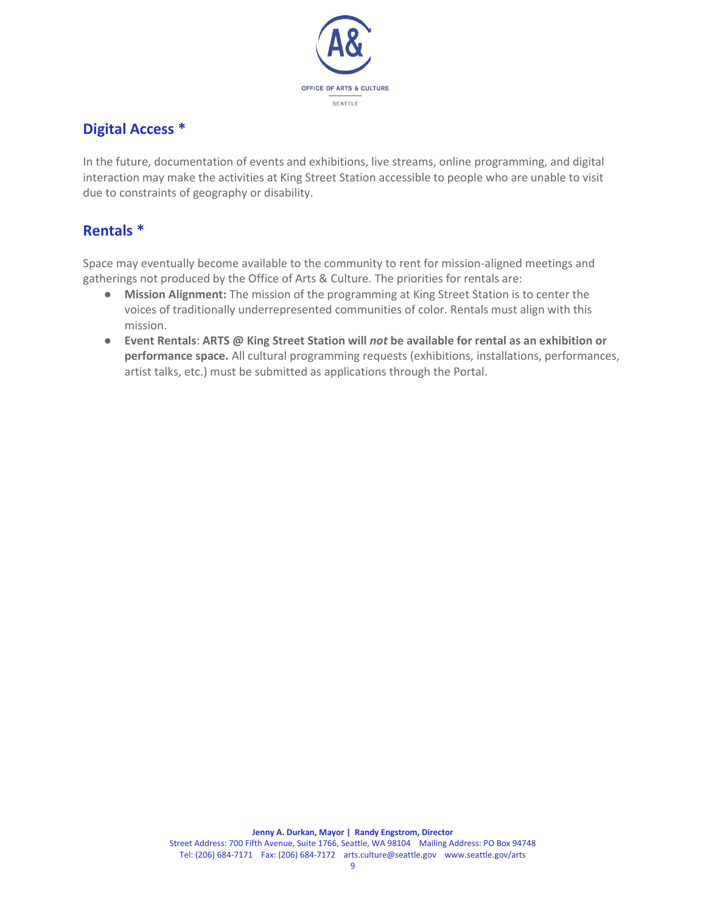

### **Digital Access \***

In the future, documentation of events and exhibitions, live streams, online programming, and digital interaction may make the activities at King Street Station accessible to people who are unable to visit due to constraints of geography or disability.

### **Rentals \***

Space may eventually become available to the community to rent for mission-aligned meetings and gatherings not produced by the Office of Arts & Culture. The priorities for rentals are:

- **Mission Alignment:** The mission of the programming at King Street Station is to center the voices of traditionally underrepresented communities of color. Rentals must align with this mission.
- **Event Rentals**: **ARTS @ King Street Station will** *not* **be available for rental as an exhibition or performance space.** All cultural programming requests (exhibitions, installations, performances, artist talks, etc.) must be submitted as applications through the Portal.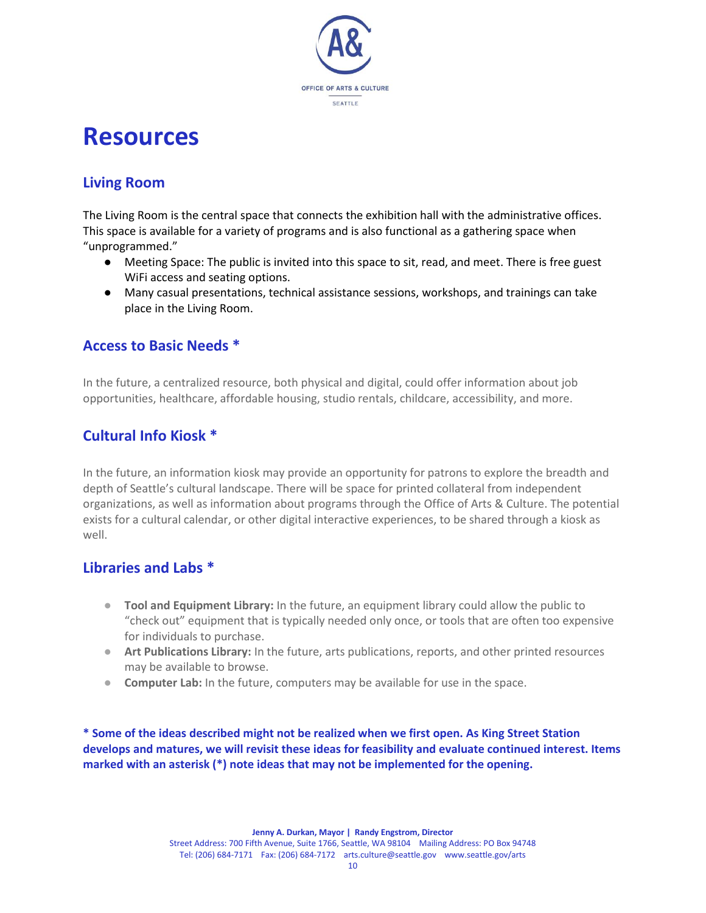

## **Resources**

## **Living Room**

The Living Room is the central space that connects the exhibition hall with the administrative offices. This space is available for a variety of programs and is also functional as a gathering space when "unprogrammed."

- Meeting Space: The public is invited into this space to sit, read, and meet. There is free guest WiFi access and seating options.
- Many casual presentations, technical assistance sessions, workshops, and trainings can take place in the Living Room.

#### **Access to Basic Needs \***

In the future, a centralized resource, both physical and digital, could offer information about job opportunities, healthcare, affordable housing, studio rentals, childcare, accessibility, and more.

### **Cultural Info Kiosk \***

In the future, an information kiosk may provide an opportunity for patrons to explore the breadth and depth of Seattle's cultural landscape. There will be space for printed collateral from independent organizations, as well as information about programs through the Office of Arts & Culture. The potential exists for a cultural calendar, or other digital interactive experiences, to be shared through a kiosk as well.

#### **Libraries and Labs \***

- **Tool and Equipment Library:** In the future, an equipment library could allow the public to "check out" equipment that is typically needed only once, or tools that are often too expensive for individuals to purchase.
- **Art Publications Library:** In the future, arts publications, reports, and other printed resources may be available to browse.
- **Computer Lab:** In the future, computers may be available for use in the space.

**\* Some of the ideas described might not be realized when we first open. As King Street Station develops and matures, we will revisit these ideas for feasibility and evaluate continued interest. Items marked with an asterisk (\*) note ideas that may not be implemented for the opening.**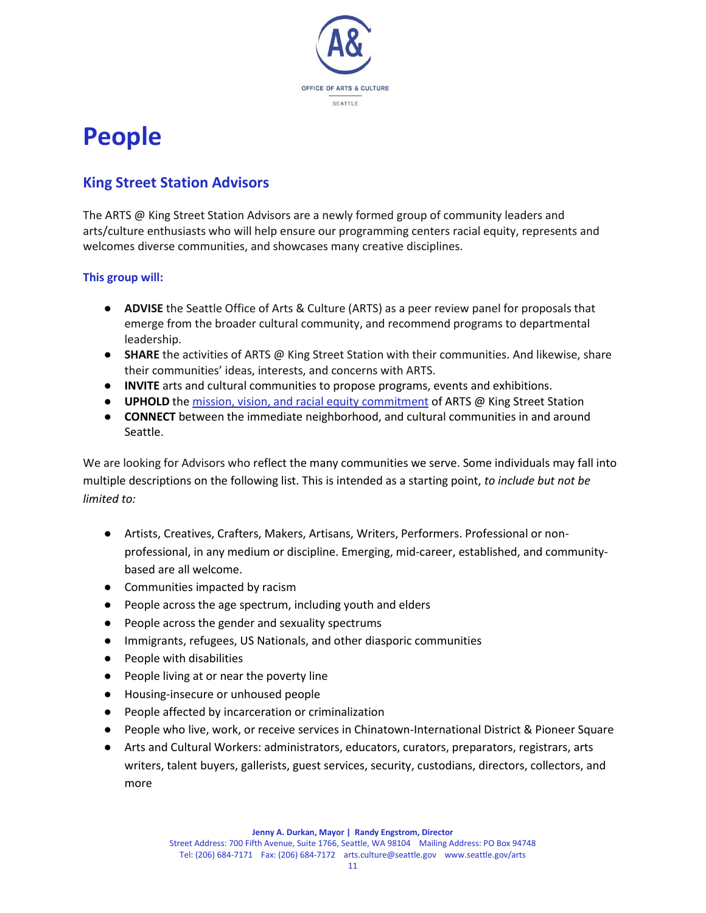

## **People**

### **King Street Station Advisors**

The ARTS @ King Street Station Advisors are a newly formed group of community leaders and arts/culture enthusiasts who will help ensure our programming centers racial equity, represents and welcomes diverse communities, and showcases many creative disciplines.

#### **This group will:**

- **ADVISE** the Seattle Office of Arts & Culture (ARTS) as a peer review panel for proposals that emerge from the broader cultural community, and recommend programs to departmental leadership.
- **SHARE** the activities of ARTS @ King Street Station with their communities. And likewise, share their communities' ideas, interests, and concerns with ARTS.
- **INVITE** arts and cultural communities to propose programs, events and exhibitions.
- **UPHOLD** the [mission, vision, and racial equity commitment](https://www.seattle.gov/arts/about-us) of ARTS @ King Street Station
- **CONNECT** between the immediate neighborhood, and cultural communities in and around Seattle.

We are looking for Advisors who reflect the many communities we serve. Some individuals may fall into multiple descriptions on the following list. This is intended as a starting point, *to include but not be limited to:* 

- Artists, Creatives, Crafters, Makers, Artisans, Writers, Performers. Professional or nonprofessional, in any medium or discipline. Emerging, mid-career, established, and communitybased are all welcome.
- Communities impacted by racism
- People across the age spectrum, including youth and elders
- People across the gender and sexuality spectrums
- Immigrants, refugees, US Nationals, and other diasporic communities
- People with disabilities
- People living at or near the poverty line
- Housing-insecure or unhoused people
- People affected by incarceration or criminalization
- People who live, work, or receive services in Chinatown-International District & Pioneer Square
- Arts and Cultural Workers: administrators, educators, curators, preparators, registrars, arts writers, talent buyers, gallerists, guest services, security, custodians, directors, collectors, and more